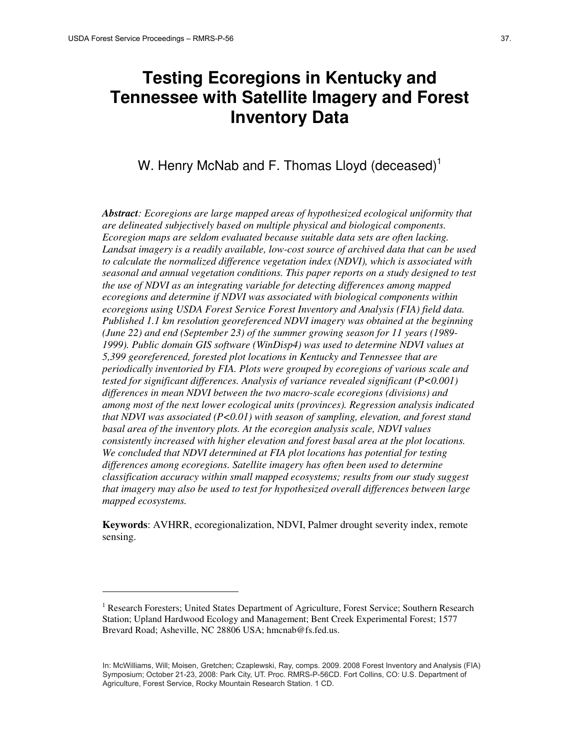$\overline{a}$ 

# **Testing Ecoregions in Kentucky and Tennessee with Satellite Imagery and Forest Inventory Data**

# W. Henry McNab and F. Thomas Lloyd (deceased)<sup>1</sup>

*Abstract: Ecoregions are large mapped areas of hypothesized ecological uniformity that are delineated subjectively based on multiple physical and biological components. Ecoregion maps are seldom evaluated because suitable data sets are often lacking. Landsat imagery is a readily available, low-cost source of archived data that can be used to calculate the normalized difference vegetation index (NDVI), which is associated with seasonal and annual vegetation conditions. This paper reports on a study designed to test the use of NDVI as an integrating variable for detecting differences among mapped ecoregions and determine if NDVI was associated with biological components within ecoregions using USDA Forest Service Forest Inventory and Analysis (FIA) field data. Published 1.1 km resolution georeferenced NDVI imagery was obtained at the beginning (June 22) and end (September 23) of the summer growing season for 11 years (1989- 1999). Public domain GIS software (WinDisp4) was used to determine NDVI values at 5,399 georeferenced, forested plot locations in Kentucky and Tennessee that are periodically inventoried by FIA. Plots were grouped by ecoregions of various scale and tested for significant differences. Analysis of variance revealed significant (P<0.001) differences in mean NDVI between the two macro-scale ecoregions (divisions) and among most of the next lower ecological units (provinces). Regression analysis indicated that NDVI was associated (P<0.01) with season of sampling, elevation, and forest stand basal area of the inventory plots. At the ecoregion analysis scale, NDVI values consistently increased with higher elevation and forest basal area at the plot locations. We concluded that NDVI determined at FIA plot locations has potential for testing differences among ecoregions. Satellite imagery has often been used to determine classification accuracy within small mapped ecosystems; results from our study suggest that imagery may also be used to test for hypothesized overall differences between large mapped ecosystems.* 

**Keywords**: AVHRR, ecoregionalization, NDVI, Palmer drought severity index, remote sensing.

<sup>&</sup>lt;sup>1</sup> Research Foresters; United States Department of Agriculture, Forest Service; Southern Research Station; Upland Hardwood Ecology and Management; Bent Creek Experimental Forest; 1577 Brevard Road; Asheville, NC 28806 USA; hmcnab@fs.fed.us.

 Agriculture, Forest Service, Rocky Mountain Research Station. 1 CD. In: McWilliams, Will; Moisen, Gretchen; Czaplewski, Ray, comps. 2009. 2008 Forest Inventory and Analysis (FIA) Symposium; October 21-23, 2008: Park City, UT. Proc. RMRS-P-56CD. Fort Collins, CO: U.S. Department of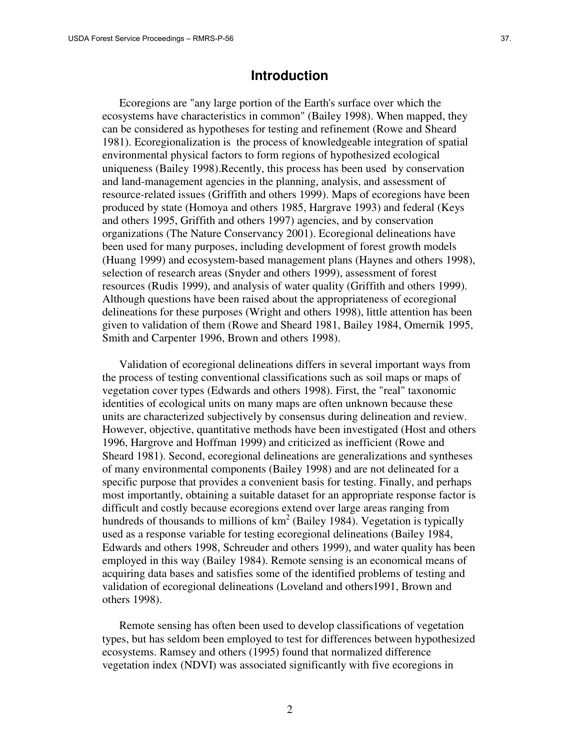# **Introduction**

Ecoregions are "any large portion of the Earth's surface over which the ecosystems have characteristics in common" (Bailey 1998). When mapped, they can be considered as hypotheses for testing and refinement (Rowe and Sheard 1981). Ecoregionalization is the process of knowledgeable integration of spatial environmental physical factors to form regions of hypothesized ecological uniqueness (Bailey 1998).Recently, this process has been used by conservation and land-management agencies in the planning, analysis, and assessment of resource-related issues (Griffith and others 1999). Maps of ecoregions have been produced by state (Homoya and others 1985, Hargrave 1993) and federal (Keys and others 1995, Griffith and others 1997) agencies, and by conservation organizations (The Nature Conservancy 2001). Ecoregional delineations have been used for many purposes, including development of forest growth models (Huang 1999) and ecosystem-based management plans (Haynes and others 1998), selection of research areas (Snyder and others 1999), assessment of forest resources (Rudis 1999), and analysis of water quality (Griffith and others 1999). Although questions have been raised about the appropriateness of ecoregional delineations for these purposes (Wright and others 1998), little attention has been given to validation of them (Rowe and Sheard 1981, Bailey 1984, Omernik 1995, Smith and Carpenter 1996, Brown and others 1998).

Validation of ecoregional delineations differs in several important ways from the process of testing conventional classifications such as soil maps or maps of vegetation cover types (Edwards and others 1998). First, the "real" taxonomic identities of ecological units on many maps are often unknown because these units are characterized subjectively by consensus during delineation and review. However, objective, quantitative methods have been investigated (Host and others 1996, Hargrove and Hoffman 1999) and criticized as inefficient (Rowe and Sheard 1981). Second, ecoregional delineations are generalizations and syntheses of many environmental components (Bailey 1998) and are not delineated for a specific purpose that provides a convenient basis for testing. Finally, and perhaps most importantly, obtaining a suitable dataset for an appropriate response factor is difficult and costly because ecoregions extend over large areas ranging from hundreds of thousands to millions of  $km^2$  (Bailey 1984). Vegetation is typically used as a response variable for testing ecoregional delineations (Bailey 1984, Edwards and others 1998, Schreuder and others 1999), and water quality has been employed in this way (Bailey 1984). Remote sensing is an economical means of acquiring data bases and satisfies some of the identified problems of testing and validation of ecoregional delineations (Loveland and others1991, Brown and others 1998).

Remote sensing has often been used to develop classifications of vegetation types, but has seldom been employed to test for differences between hypothesized ecosystems. Ramsey and others (1995) found that normalized difference vegetation index (NDVI) was associated significantly with five ecoregions in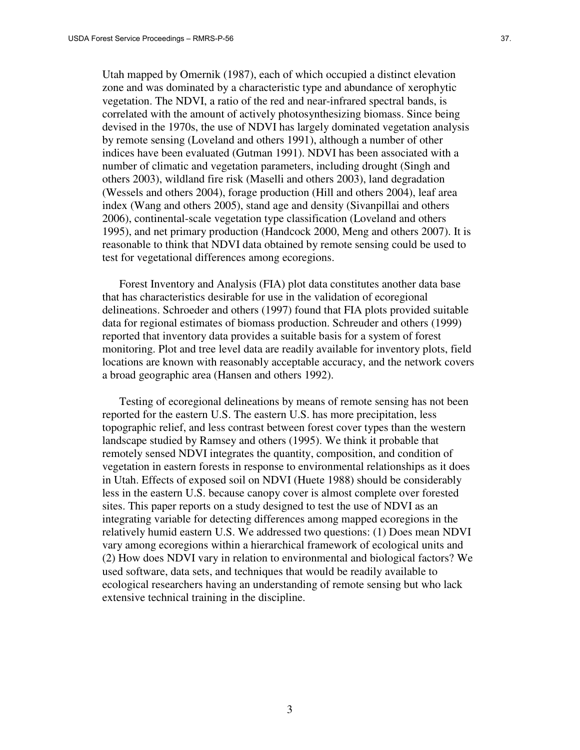Utah mapped by Omernik (1987), each of which occupied a distinct elevation zone and was dominated by a characteristic type and abundance of xerophytic vegetation. The NDVI, a ratio of the red and near-infrared spectral bands, is correlated with the amount of actively photosynthesizing biomass. Since being devised in the 1970s, the use of NDVI has largely dominated vegetation analysis by remote sensing (Loveland and others 1991), although a number of other indices have been evaluated (Gutman 1991). NDVI has been associated with a number of climatic and vegetation parameters, including drought (Singh and others 2003), wildland fire risk (Maselli and others 2003), land degradation (Wessels and others 2004), forage production (Hill and others 2004), leaf area index (Wang and others 2005), stand age and density (Sivanpillai and others 2006), continental-scale vegetation type classification (Loveland and others 1995), and net primary production (Handcock 2000, Meng and others 2007). It is reasonable to think that NDVI data obtained by remote sensing could be used to test for vegetational differences among ecoregions.

Forest Inventory and Analysis (FIA) plot data constitutes another data base that has characteristics desirable for use in the validation of ecoregional delineations. Schroeder and others (1997) found that FIA plots provided suitable data for regional estimates of biomass production. Schreuder and others (1999) reported that inventory data provides a suitable basis for a system of forest monitoring. Plot and tree level data are readily available for inventory plots, field locations are known with reasonably acceptable accuracy, and the network covers a broad geographic area (Hansen and others 1992).

Testing of ecoregional delineations by means of remote sensing has not been reported for the eastern U.S. The eastern U.S. has more precipitation, less topographic relief, and less contrast between forest cover types than the western landscape studied by Ramsey and others (1995). We think it probable that remotely sensed NDVI integrates the quantity, composition, and condition of vegetation in eastern forests in response to environmental relationships as it does in Utah. Effects of exposed soil on NDVI (Huete 1988) should be considerably less in the eastern U.S. because canopy cover is almost complete over forested sites. This paper reports on a study designed to test the use of NDVI as an integrating variable for detecting differences among mapped ecoregions in the relatively humid eastern U.S. We addressed two questions: (1) Does mean NDVI vary among ecoregions within a hierarchical framework of ecological units and (2) How does NDVI vary in relation to environmental and biological factors? We used software, data sets, and techniques that would be readily available to ecological researchers having an understanding of remote sensing but who lack extensive technical training in the discipline.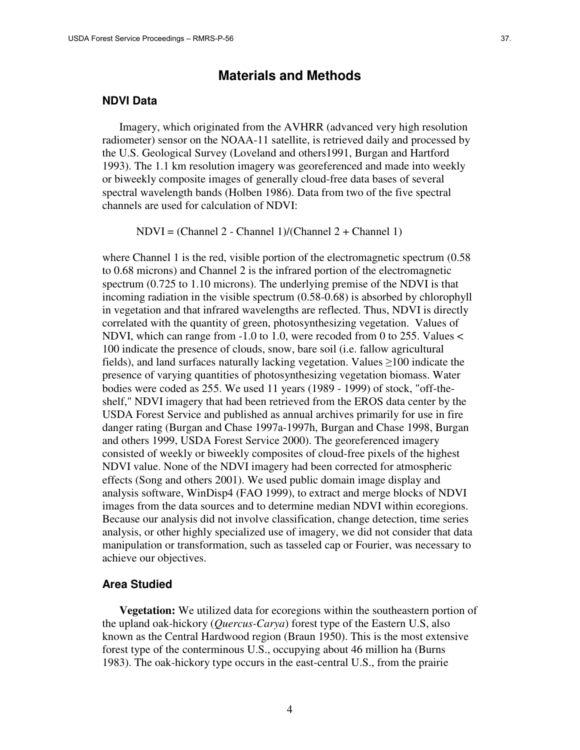# **Materials and Methods**

#### **NDVI Data**

Imagery, which originated from the AVHRR (advanced very high resolution radiometer) sensor on the NOAA-11 satellite, is retrieved daily and processed by the U.S. Geological Survey (Loveland and others1991, Burgan and Hartford 1993). The 1.1 km resolution imagery was georeferenced and made into weekly or biweekly composite images of generally cloud-free data bases of several spectral wavelength bands (Holben 1986). Data from two of the five spectral channels are used for calculation of NDVI:

NDVI = (Channel 2 - Channel 1)/(Channel 2 + Channel 1)

where Channel 1 is the red, visible portion of the electromagnetic spectrum  $(0.58)$ to 0.68 microns) and Channel 2 is the infrared portion of the electromagnetic spectrum (0.725 to 1.10 microns). The underlying premise of the NDVI is that incoming radiation in the visible spectrum (0.58-0.68) is absorbed by chlorophyll in vegetation and that infrared wavelengths are reflected. Thus, NDVI is directly correlated with the quantity of green, photosynthesizing vegetation. Values of NDVI, which can range from -1.0 to 1.0, were recoded from 0 to 255. Values < 100 indicate the presence of clouds, snow, bare soil (i.e. fallow agricultural fields), and land surfaces naturally lacking vegetation. Values ≥100 indicate the presence of varying quantities of photosynthesizing vegetation biomass. Water bodies were coded as 255. We used 11 years (1989 - 1999) of stock, "off-theshelf," NDVI imagery that had been retrieved from the EROS data center by the USDA Forest Service and published as annual archives primarily for use in fire danger rating (Burgan and Chase 1997a-1997h, Burgan and Chase 1998, Burgan and others 1999, USDA Forest Service 2000). The georeferenced imagery consisted of weekly or biweekly composites of cloud-free pixels of the highest NDVI value. None of the NDVI imagery had been corrected for atmospheric effects (Song and others 2001). We used public domain image display and analysis software, WinDisp4 (FAO 1999), to extract and merge blocks of NDVI images from the data sources and to determine median NDVI within ecoregions. Because our analysis did not involve classification, change detection, time series analysis, or other highly specialized use of imagery, we did not consider that data manipulation or transformation, such as tasseled cap or Fourier, was necessary to achieve our objectives.

### **Area Studied**

**Vegetation:** We utilized data for ecoregions within the southeastern portion of the upland oak-hickory (*Quercus-Carya*) forest type of the Eastern U.S, also known as the Central Hardwood region (Braun 1950). This is the most extensive forest type of the conterminous U.S., occupying about 46 million ha (Burns 1983). The oak-hickory type occurs in the east-central U.S., from the prairie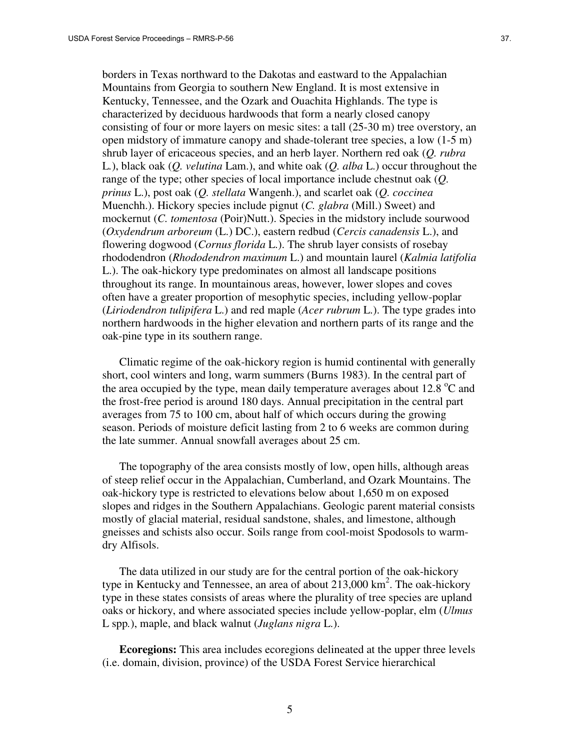borders in Texas northward to the Dakotas and eastward to the Appalachian Mountains from Georgia to southern New England. It is most extensive in Kentucky, Tennessee, and the Ozark and Ouachita Highlands. The type is characterized by deciduous hardwoods that form a nearly closed canopy consisting of four or more layers on mesic sites: a tall (25-30 m) tree overstory, an open midstory of immature canopy and shade-tolerant tree species, a low (1-5 m) shrub layer of ericaceous species, and an herb layer. Northern red oak (*Q. rubra*  L*.*), black oak (*Q. velutina* Lam.), and white oak (*Q. alba* L.) occur throughout the range of the type; other species of local importance include chestnut oak (*Q. prinus* L.), post oak (*Q. stellata* Wangenh.), and scarlet oak (*Q. coccinea* Muenchh.). Hickory species include pignut (*C. glabra* (Mill.) Sweet) and mockernut (*C. tomentosa* (Poir)Nutt.). Species in the midstory include sourwood (*Oxydendrum arboreum* (L.) DC.), eastern redbud (*Cercis canadensis* L.), and flowering dogwood (*Cornus florida* L.). The shrub layer consists of rosebay rhododendron (*Rhododendron maximum* L.) and mountain laurel (*Kalmia latifolia* L.). The oak-hickory type predominates on almost all landscape positions throughout its range. In mountainous areas, however, lower slopes and coves often have a greater proportion of mesophytic species, including yellow-poplar (*Liriodendron tulipifera* L.) and red maple (*Acer rubrum* L.). The type grades into northern hardwoods in the higher elevation and northern parts of its range and the oak-pine type in its southern range.

Climatic regime of the oak-hickory region is humid continental with generally short, cool winters and long, warm summers (Burns 1983). In the central part of the area occupied by the type, mean daily temperature averages about 12.8  $^{\circ}$ C and the frost-free period is around 180 days. Annual precipitation in the central part averages from 75 to 100 cm, about half of which occurs during the growing season. Periods of moisture deficit lasting from 2 to 6 weeks are common during the late summer. Annual snowfall averages about 25 cm.

The topography of the area consists mostly of low, open hills, although areas of steep relief occur in the Appalachian, Cumberland, and Ozark Mountains. The oak-hickory type is restricted to elevations below about 1,650 m on exposed slopes and ridges in the Southern Appalachians. Geologic parent material consists mostly of glacial material, residual sandstone, shales, and limestone, although gneisses and schists also occur. Soils range from cool-moist Spodosols to warmdry Alfisols.

The data utilized in our study are for the central portion of the oak-hickory type in Kentucky and Tennessee, an area of about  $213,000 \text{ km}^2$ . The oak-hickory type in these states consists of areas where the plurality of tree species are upland oaks or hickory, and where associated species include yellow-poplar, elm (*Ulmus* L spp*.*), maple, and black walnut (*Juglans nigra* L.).

**Ecoregions:** This area includes ecoregions delineated at the upper three levels (i.e. domain, division, province) of the USDA Forest Service hierarchical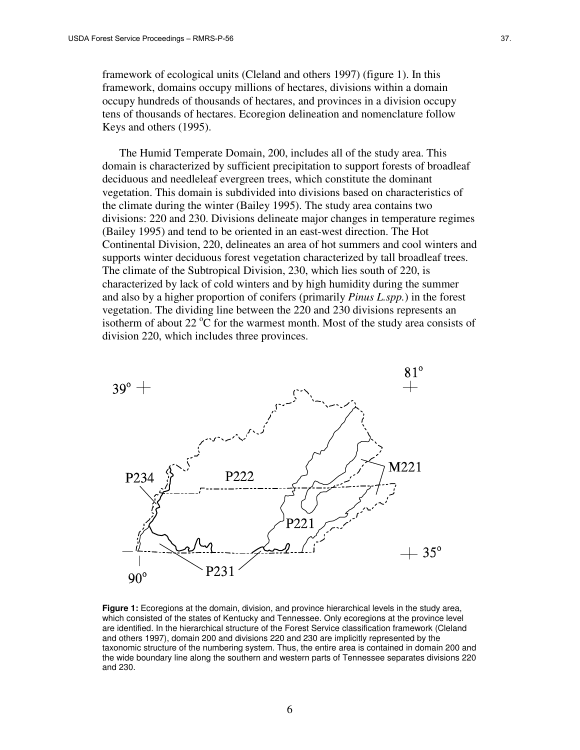framework of ecological units (Cleland and others 1997) (figure 1). In this framework, domains occupy millions of hectares, divisions within a domain occupy hundreds of thousands of hectares, and provinces in a division occupy tens of thousands of hectares. Ecoregion delineation and nomenclature follow Keys and others (1995).

The Humid Temperate Domain, 200, includes all of the study area. This domain is characterized by sufficient precipitation to support forests of broadleaf deciduous and needleleaf evergreen trees, which constitute the dominant vegetation. This domain is subdivided into divisions based on characteristics of the climate during the winter (Bailey 1995). The study area contains two divisions: 220 and 230. Divisions delineate major changes in temperature regimes (Bailey 1995) and tend to be oriented in an east-west direction. The Hot Continental Division, 220, delineates an area of hot summers and cool winters and supports winter deciduous forest vegetation characterized by tall broadleaf trees. The climate of the Subtropical Division, 230, which lies south of 220, is characterized by lack of cold winters and by high humidity during the summer and also by a higher proportion of conifers (primarily *Pinus L.spp.*) in the forest vegetation. The dividing line between the 220 and 230 divisions represents an isotherm of about 22  $\mathrm{^{\circ}C}$  for the warmest month. Most of the study area consists of division 220, which includes three provinces.



**Figure 1:** Ecoregions at the domain, division, and province hierarchical levels in the study area, which consisted of the states of Kentucky and Tennessee. Only ecoregions at the province level are identified. In the hierarchical structure of the Forest Service classification framework (Cleland and others 1997), domain 200 and divisions 220 and 230 are implicitly represented by the taxonomic structure of the numbering system. Thus, the entire area is contained in domain 200 and the wide boundary line along the southern and western parts of Tennessee separates divisions 220 and 230.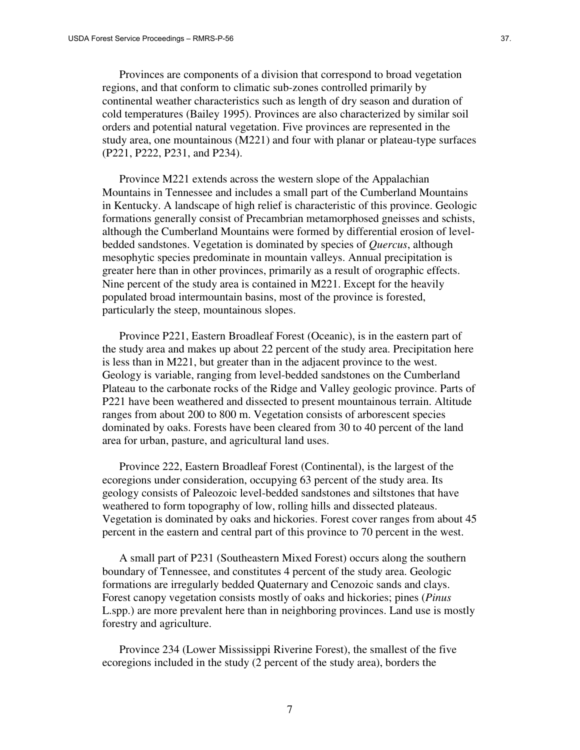Provinces are components of a division that correspond to broad vegetation regions, and that conform to climatic sub-zones controlled primarily by continental weather characteristics such as length of dry season and duration of cold temperatures (Bailey 1995). Provinces are also characterized by similar soil orders and potential natural vegetation. Five provinces are represented in the study area, one mountainous (M221) and four with planar or plateau-type surfaces (P221, P222, P231, and P234).

Province M221 extends across the western slope of the Appalachian Mountains in Tennessee and includes a small part of the Cumberland Mountains in Kentucky. A landscape of high relief is characteristic of this province. Geologic formations generally consist of Precambrian metamorphosed gneisses and schists, although the Cumberland Mountains were formed by differential erosion of levelbedded sandstones. Vegetation is dominated by species of *Quercus*, although mesophytic species predominate in mountain valleys. Annual precipitation is greater here than in other provinces, primarily as a result of orographic effects. Nine percent of the study area is contained in M221. Except for the heavily populated broad intermountain basins, most of the province is forested, particularly the steep, mountainous slopes.

Province P221, Eastern Broadleaf Forest (Oceanic), is in the eastern part of the study area and makes up about 22 percent of the study area. Precipitation here is less than in M221, but greater than in the adjacent province to the west. Geology is variable, ranging from level-bedded sandstones on the Cumberland Plateau to the carbonate rocks of the Ridge and Valley geologic province. Parts of P221 have been weathered and dissected to present mountainous terrain. Altitude ranges from about 200 to 800 m. Vegetation consists of arborescent species dominated by oaks. Forests have been cleared from 30 to 40 percent of the land area for urban, pasture, and agricultural land uses.

Province 222, Eastern Broadleaf Forest (Continental), is the largest of the ecoregions under consideration, occupying 63 percent of the study area. Its geology consists of Paleozoic level-bedded sandstones and siltstones that have weathered to form topography of low, rolling hills and dissected plateaus. Vegetation is dominated by oaks and hickories. Forest cover ranges from about 45 percent in the eastern and central part of this province to 70 percent in the west.

A small part of P231 (Southeastern Mixed Forest) occurs along the southern boundary of Tennessee, and constitutes 4 percent of the study area. Geologic formations are irregularly bedded Quaternary and Cenozoic sands and clays. Forest canopy vegetation consists mostly of oaks and hickories; pines (*Pinus* L.spp.) are more prevalent here than in neighboring provinces. Land use is mostly forestry and agriculture.

Province 234 (Lower Mississippi Riverine Forest), the smallest of the five ecoregions included in the study (2 percent of the study area), borders the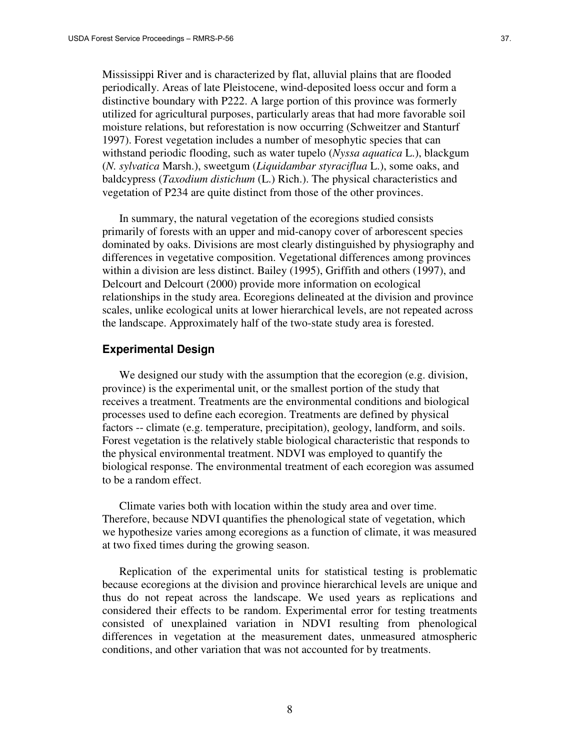Mississippi River and is characterized by flat, alluvial plains that are flooded periodically. Areas of late Pleistocene, wind-deposited loess occur and form a distinctive boundary with P222. A large portion of this province was formerly utilized for agricultural purposes, particularly areas that had more favorable soil moisture relations, but reforestation is now occurring (Schweitzer and Stanturf 1997). Forest vegetation includes a number of mesophytic species that can withstand periodic flooding, such as water tupelo (*Nyssa aquatica* L.), blackgum (*N. sylvatica* Marsh.), sweetgum (*Liquidambar styraciflua* L.), some oaks, and baldcypress (*Taxodium distichum* (L.) Rich.). The physical characteristics and vegetation of P234 are quite distinct from those of the other provinces.

In summary, the natural vegetation of the ecoregions studied consists primarily of forests with an upper and mid-canopy cover of arborescent species dominated by oaks. Divisions are most clearly distinguished by physiography and differences in vegetative composition. Vegetational differences among provinces within a division are less distinct. Bailey (1995), Griffith and others (1997), and Delcourt and Delcourt (2000) provide more information on ecological relationships in the study area. Ecoregions delineated at the division and province scales, unlike ecological units at lower hierarchical levels, are not repeated across the landscape. Approximately half of the two-state study area is forested.

#### **Experimental Design**

We designed our study with the assumption that the ecoregion (e.g. division, province) is the experimental unit, or the smallest portion of the study that receives a treatment. Treatments are the environmental conditions and biological processes used to define each ecoregion. Treatments are defined by physical factors -- climate (e.g. temperature, precipitation), geology, landform, and soils. Forest vegetation is the relatively stable biological characteristic that responds to the physical environmental treatment. NDVI was employed to quantify the biological response. The environmental treatment of each ecoregion was assumed to be a random effect.

Climate varies both with location within the study area and over time. Therefore, because NDVI quantifies the phenological state of vegetation, which we hypothesize varies among ecoregions as a function of climate, it was measured at two fixed times during the growing season.

Replication of the experimental units for statistical testing is problematic because ecoregions at the division and province hierarchical levels are unique and thus do not repeat across the landscape. We used years as replications and considered their effects to be random. Experimental error for testing treatments consisted of unexplained variation in NDVI resulting from phenological differences in vegetation at the measurement dates, unmeasured atmospheric conditions, and other variation that was not accounted for by treatments.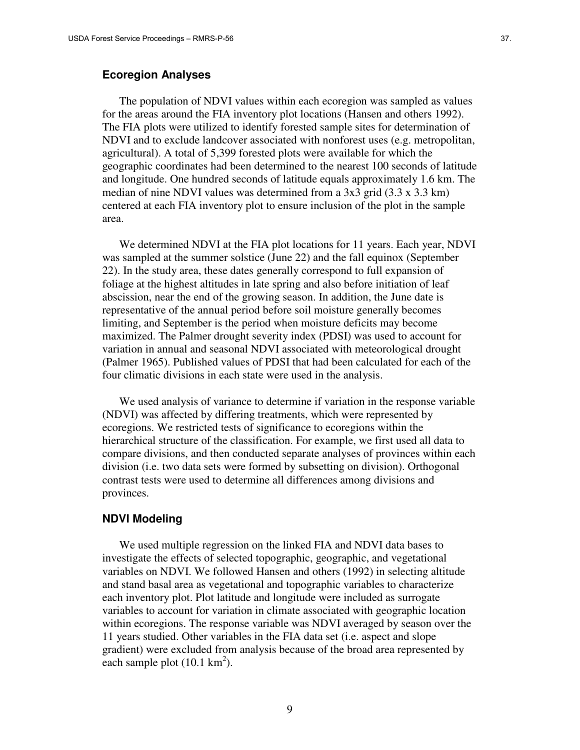#### **Ecoregion Analyses**

The population of NDVI values within each ecoregion was sampled as values for the areas around the FIA inventory plot locations (Hansen and others 1992). The FIA plots were utilized to identify forested sample sites for determination of NDVI and to exclude landcover associated with nonforest uses (e.g. metropolitan, agricultural). A total of 5,399 forested plots were available for which the geographic coordinates had been determined to the nearest 100 seconds of latitude and longitude. One hundred seconds of latitude equals approximately 1.6 km. The median of nine NDVI values was determined from a 3x3 grid (3.3 x 3.3 km) centered at each FIA inventory plot to ensure inclusion of the plot in the sample area.

We determined NDVI at the FIA plot locations for 11 years. Each year, NDVI was sampled at the summer solstice (June 22) and the fall equinox (September 22). In the study area, these dates generally correspond to full expansion of foliage at the highest altitudes in late spring and also before initiation of leaf abscission, near the end of the growing season. In addition, the June date is representative of the annual period before soil moisture generally becomes limiting, and September is the period when moisture deficits may become maximized. The Palmer drought severity index (PDSI) was used to account for variation in annual and seasonal NDVI associated with meteorological drought (Palmer 1965). Published values of PDSI that had been calculated for each of the four climatic divisions in each state were used in the analysis.

We used analysis of variance to determine if variation in the response variable (NDVI) was affected by differing treatments, which were represented by ecoregions. We restricted tests of significance to ecoregions within the hierarchical structure of the classification. For example, we first used all data to compare divisions, and then conducted separate analyses of provinces within each division (i.e. two data sets were formed by subsetting on division). Orthogonal contrast tests were used to determine all differences among divisions and provinces.

#### **NDVI Modeling**

We used multiple regression on the linked FIA and NDVI data bases to investigate the effects of selected topographic, geographic, and vegetational variables on NDVI. We followed Hansen and others (1992) in selecting altitude and stand basal area as vegetational and topographic variables to characterize each inventory plot. Plot latitude and longitude were included as surrogate variables to account for variation in climate associated with geographic location within ecoregions. The response variable was NDVI averaged by season over the 11 years studied. Other variables in the FIA data set (i.e. aspect and slope gradient) were excluded from analysis because of the broad area represented by each sample plot  $(10.1 \text{ km}^2)$ .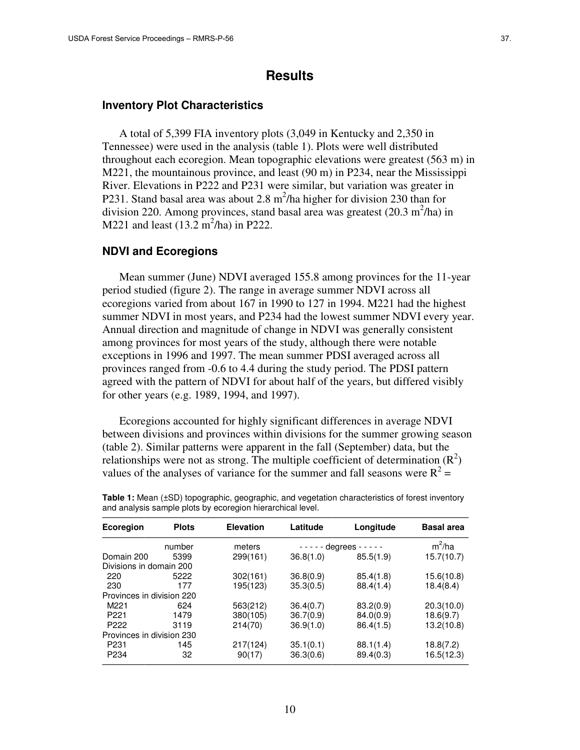# **Results**

#### **Inventory Plot Characteristics**

A total of 5,399 FIA inventory plots (3,049 in Kentucky and 2,350 in Tennessee) were used in the analysis (table 1). Plots were well distributed throughout each ecoregion. Mean topographic elevations were greatest (563 m) in M221, the mountainous province, and least (90 m) in P234, near the Mississippi River. Elevations in P222 and P231 were similar, but variation was greater in P231. Stand basal area was about 2.8  $m^2/h$ a higher for division 230 than for division 220. Among provinces, stand basal area was greatest  $(20.3 \text{ m}^2/\text{ha})$  in M221 and least  $(13.2 \text{ m}^2/\text{ha})$  in P222.

#### **NDVI and Ecoregions**

Mean summer (June) NDVI averaged 155.8 among provinces for the 11-year period studied (figure 2). The range in average summer NDVI across all ecoregions varied from about 167 in 1990 to 127 in 1994. M221 had the highest summer NDVI in most years, and P234 had the lowest summer NDVI every year. Annual direction and magnitude of change in NDVI was generally consistent among provinces for most years of the study, although there were notable exceptions in 1996 and 1997. The mean summer PDSI averaged across all provinces ranged from -0.6 to 4.4 during the study period. The PDSI pattern agreed with the pattern of NDVI for about half of the years, but differed visibly for other years (e.g. 1989, 1994, and 1997).

Ecoregions accounted for highly significant differences in average NDVI between divisions and provinces within divisions for the summer growing season (table 2). Similar patterns were apparent in the fall (September) data, but the relationships were not as strong. The multiple coefficient of determination  $(R^2)$ values of the analyses of variance for the summer and fall seasons were  $R^2 =$ 

| <b>Ecoregion</b>          | <b>Plots</b> | <b>Elevation</b> | Latitude  | Longitude                   | <b>Basal area</b> |  |
|---------------------------|--------------|------------------|-----------|-----------------------------|-------------------|--|
|                           | number       | meters           |           | $- - - -$ degrees $- - - -$ | $m^2/ha$          |  |
| Domain 200                | 5399         | 299(161)         | 36.8(1.0) | 85.5(1.9)                   | 15.7(10.7)        |  |
| Divisions in domain 200   |              |                  |           |                             |                   |  |
| 220                       | 5222         | 302(161)         | 36.8(0.9) | 85.4(1.8)                   | 15.6(10.8)        |  |
| 230                       | 177          | 195(123)         | 35.3(0.5) | 88.4(1.4)                   | 18.4(8.4)         |  |
| Provinces in division 220 |              |                  |           |                             |                   |  |
| M221                      | 624          | 563(212)         | 36.4(0.7) | 83.2(0.9)                   | 20.3(10.0)        |  |
| P <sub>221</sub>          | 1479         | 380(105)         | 36.7(0.9) | 84.0(0.9)                   | 18.6(9.7)         |  |
| P <sub>222</sub>          | 3119         | 214(70)          | 36.9(1.0) | 86.4(1.5)                   | 13.2(10.8)        |  |
| Provinces in division 230 |              |                  |           |                             |                   |  |
| P <sub>231</sub>          | 145          | 217(124)         | 35.1(0.1) | 88.1(1.4)                   | 18.8(7.2)         |  |
| P <sub>234</sub>          | 32           | 90(17)           | 36.3(0.6) | 89.4(0.3)                   | 16.5(12.3)        |  |

**Table 1:** Mean (±SD) topographic, geographic, and vegetation characteristics of forest inventory and analysis sample plots by ecoregion hierarchical level.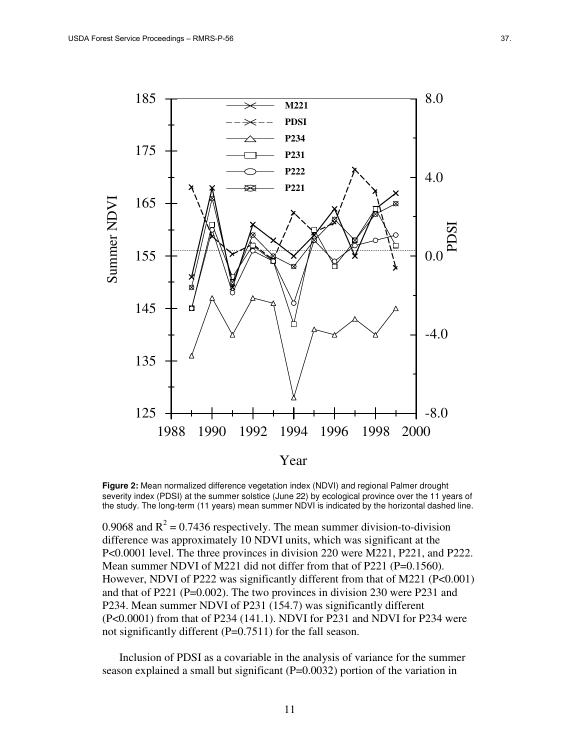

**Figure 2:** Mean normalized difference vegetation index (NDVI) and regional Palmer drought severity index (PDSI) at the summer solstice (June 22) by ecological province over the 11 years of the study. The long-term (11 years) mean summer NDVI is indicated by the horizontal dashed line.

0.9068 and  $R^2 = 0.7436$  respectively. The mean summer division-to-division difference was approximately 10 NDVI units, which was significant at the P<0.0001 level. The three provinces in division 220 were M221, P221, and P222. Mean summer NDVI of M221 did not differ from that of P221 (P=0.1560). However, NDVI of P222 was significantly different from that of M221 (P<0.001) and that of P221 (P=0.002). The two provinces in division 230 were P231 and P234. Mean summer NDVI of P231 (154.7) was significantly different (P<0.0001) from that of P234 (141.1). NDVI for P231 and NDVI for P234 were not significantly different (P=0.7511) for the fall season.

Inclusion of PDSI as a covariable in the analysis of variance for the summer season explained a small but significant (P=0.0032) portion of the variation in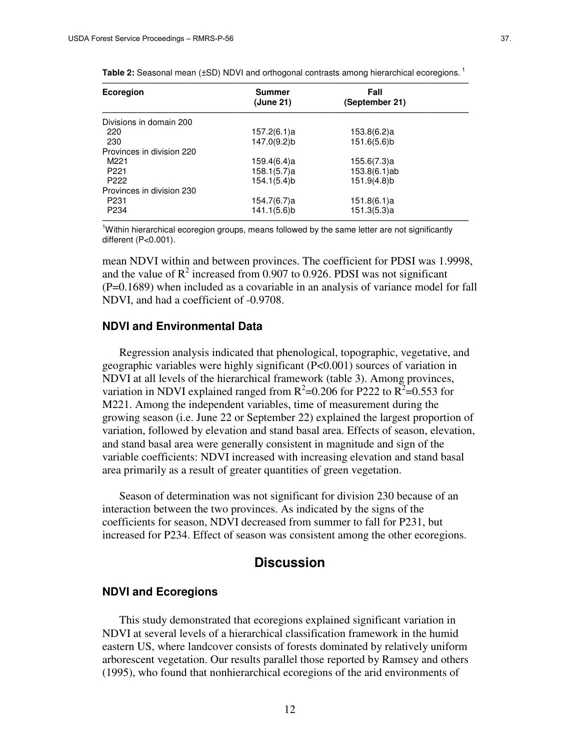| Ecoregion                 | <b>Summer</b><br>(June 21) | Fall<br>(September 21) |  |
|---------------------------|----------------------------|------------------------|--|
|                           |                            |                        |  |
| Divisions in domain 200   |                            |                        |  |
| 220                       | 157.2(6.1)a                | 153.8(6.2)a            |  |
| 230                       | 147.0(9.2)b                | 151.6(5.6)b            |  |
| Provinces in division 220 |                            |                        |  |
| M <sub>221</sub>          | 159.4(6.4)a                | 155.6(7.3)a            |  |
| P <sub>221</sub>          | 158.1(5.7)a                | 153.8(6.1)ab           |  |
| P <sub>222</sub>          | 154.1(5.4)b                | 151.9(4.8)b            |  |
| Provinces in division 230 |                            |                        |  |
| P <sub>231</sub>          | 154.7(6.7)a                | 151.8(6.1)a            |  |
| P <sub>234</sub>          | 141.1(5.6)b                | 151.3(5.3)a            |  |

Table 2: Seasonal mean (±SD) NDVI and orthogonal contrasts among hierarchical ecoregions.<sup>1</sup>

 $<sup>1</sup>$ Within hierarchical ecoregion groups, means followed by the same letter are not significantly</sup> different (P<0.001).

mean NDVI within and between provinces. The coefficient for PDSI was 1.9998, and the value of  $R^2$  increased from 0.907 to 0.926. PDSI was not significant (P=0.1689) when included as a covariable in an analysis of variance model for fall NDVI, and had a coefficient of -0.9708.

#### **NDVI and Environmental Data**

Regression analysis indicated that phenological, topographic, vegetative, and geographic variables were highly significant (P<0.001) sources of variation in NDVI at all levels of the hierarchical framework (table 3). Among provinces, variation in NDVI explained ranged from  $R^2$ =0.206 for P222 to  $R^2$ =0.553 for M221. Among the independent variables, time of measurement during the growing season (i.e. June 22 or September 22) explained the largest proportion of variation, followed by elevation and stand basal area. Effects of season, elevation, and stand basal area were generally consistent in magnitude and sign of the variable coefficients: NDVI increased with increasing elevation and stand basal area primarily as a result of greater quantities of green vegetation.

Season of determination was not significant for division 230 because of an interaction between the two provinces. As indicated by the signs of the coefficients for season, NDVI decreased from summer to fall for P231, but increased for P234. Effect of season was consistent among the other ecoregions.

# **Discussion**

#### **NDVI and Ecoregions**

This study demonstrated that ecoregions explained significant variation in NDVI at several levels of a hierarchical classification framework in the humid eastern US, where landcover consists of forests dominated by relatively uniform arborescent vegetation. Our results parallel those reported by Ramsey and others (1995), who found that nonhierarchical ecoregions of the arid environments of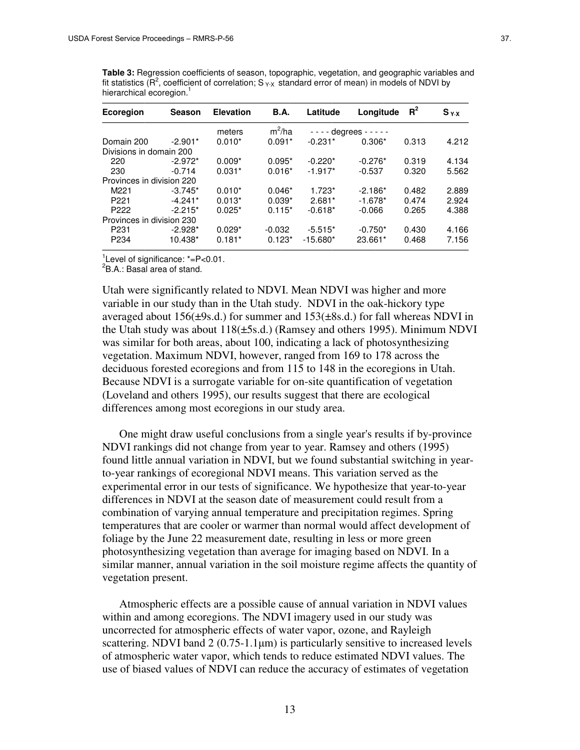**Table 3:** Regression coefficients of season, topographic, vegetation, and geographic variables and fit statistics ( $R^2$ , coefficient of correlation;  $S_{YX}$  standard error of mean) in models of NDVI by hierarchical ecoregion.<sup>1</sup>

| Ecoregion                 | Season    | <b>Elevation</b> | <b>B.A.</b> | Latitude                    | Longitude | $R^2$ | $S_{Y \cdot X}$ |
|---------------------------|-----------|------------------|-------------|-----------------------------|-----------|-------|-----------------|
|                           |           | meters           | $m^2/ha$    | $- - - -$ degrees $- - - -$ |           |       |                 |
| Domain 200                | $-2.901*$ | $0.010*$         | $0.091*$    | $-0.231*$                   | $0.306*$  | 0.313 | 4.212           |
| Divisions in domain 200   |           |                  |             |                             |           |       |                 |
| 220                       | $-2.972*$ | $0.009*$         | $0.095*$    | $-0.220*$                   | $-0.276*$ | 0.319 | 4.134           |
| 230                       | $-0.714$  | $0.031*$         | $0.016*$    | $-1.917*$                   | $-0.537$  | 0.320 | 5.562           |
| Provinces in division 220 |           |                  |             |                             |           |       |                 |
| M <sub>221</sub>          | $-3.745*$ | $0.010*$         | $0.046*$    | $1.723*$                    | $-2.186*$ | 0.482 | 2.889           |
| P <sub>221</sub>          | $-4.241*$ | $0.013*$         | $0.039*$    | $2.681*$                    | $-1.678*$ | 0.474 | 2.924           |
| P <sub>222</sub>          | $-2.215*$ | $0.025*$         | $0.115*$    | $-0.618*$                   | $-0.066$  | 0.265 | 4.388           |
| Provinces in division 230 |           |                  |             |                             |           |       |                 |
| P <sub>231</sub>          | $-2.928*$ | $0.029*$         | $-0.032$    | $-5.515*$                   | $-0.750*$ | 0.430 | 4.166           |
| P <sub>234</sub>          | 10.438*   | $0.181*$         | $0.123*$    | $-15.680*$                  | 23.661*   | 0.468 | 7.156           |

 $\frac{1}{2}$ Level of significance: \*=P<0.01.

2 B.A.: Basal area of stand.

Utah were significantly related to NDVI. Mean NDVI was higher and more variable in our study than in the Utah study. NDVI in the oak-hickory type averaged about 156( $\pm$ 9s.d.) for summer and 153( $\pm$ 8s.d.) for fall whereas NDVI in the Utah study was about  $118(\pm 5s.d.)$  (Ramsey and others 1995). Minimum NDVI was similar for both areas, about 100, indicating a lack of photosynthesizing vegetation. Maximum NDVI, however, ranged from 169 to 178 across the deciduous forested ecoregions and from 115 to 148 in the ecoregions in Utah. Because NDVI is a surrogate variable for on-site quantification of vegetation (Loveland and others 1995), our results suggest that there are ecological differences among most ecoregions in our study area.

One might draw useful conclusions from a single year's results if by-province NDVI rankings did not change from year to year. Ramsey and others (1995) found little annual variation in NDVI, but we found substantial switching in yearto-year rankings of ecoregional NDVI means. This variation served as the experimental error in our tests of significance. We hypothesize that year-to-year differences in NDVI at the season date of measurement could result from a combination of varying annual temperature and precipitation regimes. Spring temperatures that are cooler or warmer than normal would affect development of foliage by the June 22 measurement date, resulting in less or more green photosynthesizing vegetation than average for imaging based on NDVI. In a similar manner, annual variation in the soil moisture regime affects the quantity of vegetation present.

Atmospheric effects are a possible cause of annual variation in NDVI values within and among ecoregions. The NDVI imagery used in our study was uncorrected for atmospheric effects of water vapor, ozone, and Rayleigh scattering. NDVI band  $2(0.75-1.1\mu m)$  is particularly sensitive to increased levels of atmospheric water vapor, which tends to reduce estimated NDVI values. The use of biased values of NDVI can reduce the accuracy of estimates of vegetation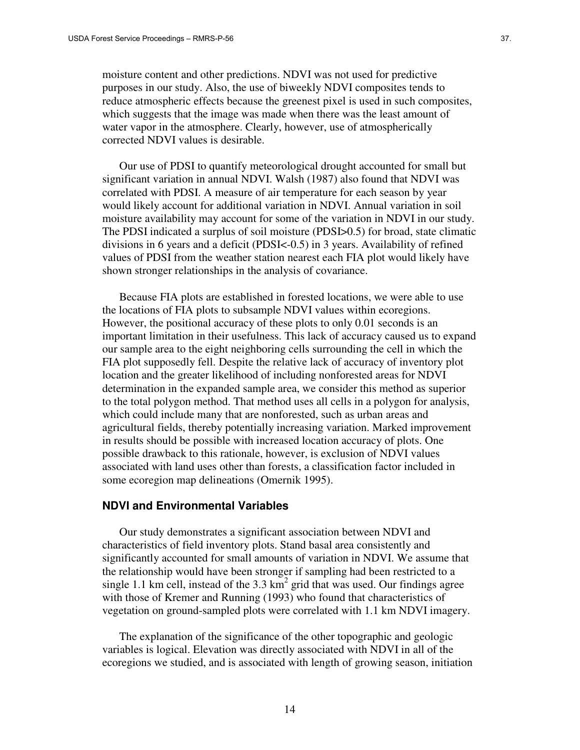moisture content and other predictions. NDVI was not used for predictive purposes in our study. Also, the use of biweekly NDVI composites tends to reduce atmospheric effects because the greenest pixel is used in such composites, which suggests that the image was made when there was the least amount of water vapor in the atmosphere. Clearly, however, use of atmospherically corrected NDVI values is desirable.

Our use of PDSI to quantify meteorological drought accounted for small but significant variation in annual NDVI. Walsh (1987) also found that NDVI was correlated with PDSI. A measure of air temperature for each season by year would likely account for additional variation in NDVI. Annual variation in soil moisture availability may account for some of the variation in NDVI in our study. The PDSI indicated a surplus of soil moisture (PDSI>0.5) for broad, state climatic divisions in 6 years and a deficit (PDSI<-0.5) in 3 years. Availability of refined values of PDSI from the weather station nearest each FIA plot would likely have shown stronger relationships in the analysis of covariance.

Because FIA plots are established in forested locations, we were able to use the locations of FIA plots to subsample NDVI values within ecoregions. However, the positional accuracy of these plots to only 0.01 seconds is an important limitation in their usefulness. This lack of accuracy caused us to expand our sample area to the eight neighboring cells surrounding the cell in which the FIA plot supposedly fell. Despite the relative lack of accuracy of inventory plot location and the greater likelihood of including nonforested areas for NDVI determination in the expanded sample area, we consider this method as superior to the total polygon method. That method uses all cells in a polygon for analysis, which could include many that are nonforested, such as urban areas and agricultural fields, thereby potentially increasing variation. Marked improvement in results should be possible with increased location accuracy of plots. One possible drawback to this rationale, however, is exclusion of NDVI values associated with land uses other than forests, a classification factor included in some ecoregion map delineations (Omernik 1995).

#### **NDVI and Environmental Variables**

Our study demonstrates a significant association between NDVI and characteristics of field inventory plots. Stand basal area consistently and significantly accounted for small amounts of variation in NDVI. We assume that the relationship would have been stronger if sampling had been restricted to a single 1.1 km cell, instead of the 3.3  $km^2$  grid that was used. Our findings agree with those of Kremer and Running (1993) who found that characteristics of vegetation on ground-sampled plots were correlated with 1.1 km NDVI imagery.

The explanation of the significance of the other topographic and geologic variables is logical. Elevation was directly associated with NDVI in all of the ecoregions we studied, and is associated with length of growing season, initiation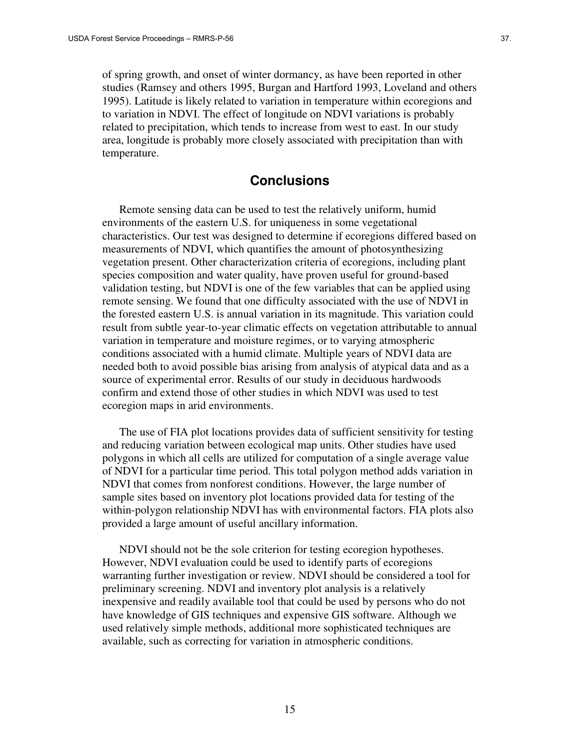of spring growth, and onset of winter dormancy, as have been reported in other studies (Ramsey and others 1995, Burgan and Hartford 1993, Loveland and others 1995). Latitude is likely related to variation in temperature within ecoregions and to variation in NDVI. The effect of longitude on NDVI variations is probably related to precipitation, which tends to increase from west to east. In our study area, longitude is probably more closely associated with precipitation than with temperature.

# **Conclusions**

Remote sensing data can be used to test the relatively uniform, humid environments of the eastern U.S. for uniqueness in some vegetational characteristics. Our test was designed to determine if ecoregions differed based on measurements of NDVI, which quantifies the amount of photosynthesizing vegetation present. Other characterization criteria of ecoregions, including plant species composition and water quality, have proven useful for ground-based validation testing, but NDVI is one of the few variables that can be applied using remote sensing. We found that one difficulty associated with the use of NDVI in the forested eastern U.S. is annual variation in its magnitude. This variation could result from subtle year-to-year climatic effects on vegetation attributable to annual variation in temperature and moisture regimes, or to varying atmospheric conditions associated with a humid climate. Multiple years of NDVI data are needed both to avoid possible bias arising from analysis of atypical data and as a source of experimental error. Results of our study in deciduous hardwoods confirm and extend those of other studies in which NDVI was used to test ecoregion maps in arid environments.

The use of FIA plot locations provides data of sufficient sensitivity for testing and reducing variation between ecological map units. Other studies have used polygons in which all cells are utilized for computation of a single average value of NDVI for a particular time period. This total polygon method adds variation in NDVI that comes from nonforest conditions. However, the large number of sample sites based on inventory plot locations provided data for testing of the within-polygon relationship NDVI has with environmental factors. FIA plots also provided a large amount of useful ancillary information.

NDVI should not be the sole criterion for testing ecoregion hypotheses. However, NDVI evaluation could be used to identify parts of ecoregions warranting further investigation or review. NDVI should be considered a tool for preliminary screening. NDVI and inventory plot analysis is a relatively inexpensive and readily available tool that could be used by persons who do not have knowledge of GIS techniques and expensive GIS software. Although we used relatively simple methods, additional more sophisticated techniques are available, such as correcting for variation in atmospheric conditions.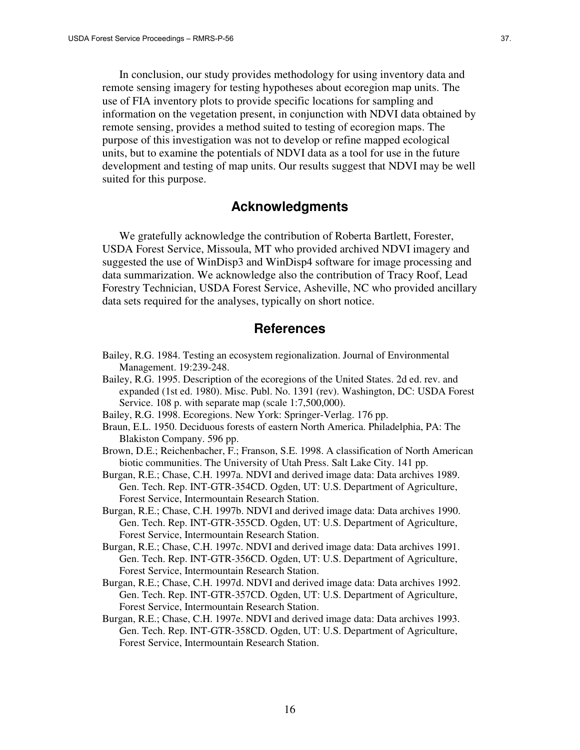In conclusion, our study provides methodology for using inventory data and remote sensing imagery for testing hypotheses about ecoregion map units. The use of FIA inventory plots to provide specific locations for sampling and information on the vegetation present, in conjunction with NDVI data obtained by remote sensing, provides a method suited to testing of ecoregion maps. The purpose of this investigation was not to develop or refine mapped ecological units, but to examine the potentials of NDVI data as a tool for use in the future development and testing of map units. Our results suggest that NDVI may be well suited for this purpose.

# **Acknowledgments**

We gratefully acknowledge the contribution of Roberta Bartlett, Forester, USDA Forest Service, Missoula, MT who provided archived NDVI imagery and suggested the use of WinDisp3 and WinDisp4 software for image processing and data summarization. We acknowledge also the contribution of Tracy Roof, Lead Forestry Technician, USDA Forest Service, Asheville, NC who provided ancillary data sets required for the analyses, typically on short notice.

# **References**

- Bailey, R.G. 1984. Testing an ecosystem regionalization. Journal of Environmental Management. 19:239-248.
- Bailey, R.G. 1995. Description of the ecoregions of the United States. 2d ed. rev. and expanded (1st ed. 1980). Misc. Publ. No. 1391 (rev). Washington, DC: USDA Forest Service. 108 p. with separate map (scale 1:7,500,000).
- Bailey, R.G. 1998. Ecoregions. New York: Springer-Verlag. 176 pp.
- Braun, E.L. 1950. Deciduous forests of eastern North America. Philadelphia, PA: The Blakiston Company. 596 pp.
- Brown, D.E.; Reichenbacher, F.; Franson, S.E. 1998. A classification of North American biotic communities. The University of Utah Press. Salt Lake City. 141 pp.
- Burgan, R.E.; Chase, C.H. 1997a. NDVI and derived image data: Data archives 1989. Gen. Tech. Rep. INT-GTR-354CD. Ogden, UT: U.S. Department of Agriculture, Forest Service, Intermountain Research Station.
- Burgan, R.E.; Chase, C.H. 1997b. NDVI and derived image data: Data archives 1990. Gen. Tech. Rep. INT-GTR-355CD. Ogden, UT: U.S. Department of Agriculture, Forest Service, Intermountain Research Station.
- Burgan, R.E.; Chase, C.H. 1997c. NDVI and derived image data: Data archives 1991. Gen. Tech. Rep. INT-GTR-356CD. Ogden, UT: U.S. Department of Agriculture, Forest Service, Intermountain Research Station.
- Burgan, R.E.; Chase, C.H. 1997d. NDVI and derived image data: Data archives 1992. Gen. Tech. Rep. INT-GTR-357CD. Ogden, UT: U.S. Department of Agriculture, Forest Service, Intermountain Research Station.
- Burgan, R.E.; Chase, C.H. 1997e. NDVI and derived image data: Data archives 1993. Gen. Tech. Rep. INT-GTR-358CD. Ogden, UT: U.S. Department of Agriculture, Forest Service, Intermountain Research Station.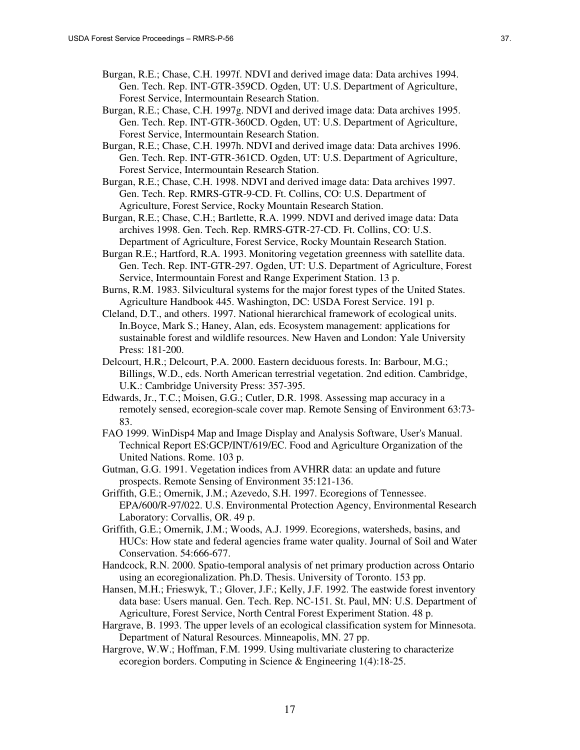- Burgan, R.E.; Chase, C.H. 1997f. NDVI and derived image data: Data archives 1994. Gen. Tech. Rep. INT-GTR-359CD. Ogden, UT: U.S. Department of Agriculture, Forest Service, Intermountain Research Station.
- Burgan, R.E.; Chase, C.H. 1997g. NDVI and derived image data: Data archives 1995. Gen. Tech. Rep. INT-GTR-360CD. Ogden, UT: U.S. Department of Agriculture, Forest Service, Intermountain Research Station.
- Burgan, R.E.; Chase, C.H. 1997h. NDVI and derived image data: Data archives 1996. Gen. Tech. Rep. INT-GTR-361CD. Ogden, UT: U.S. Department of Agriculture, Forest Service, Intermountain Research Station.
- Burgan, R.E.; Chase, C.H. 1998. NDVI and derived image data: Data archives 1997. Gen. Tech. Rep. RMRS-GTR-9-CD. Ft. Collins, CO: U.S. Department of Agriculture, Forest Service, Rocky Mountain Research Station.
- Burgan, R.E.; Chase, C.H.; Bartlette, R.A. 1999. NDVI and derived image data: Data archives 1998. Gen. Tech. Rep. RMRS-GTR-27-CD. Ft. Collins, CO: U.S. Department of Agriculture, Forest Service, Rocky Mountain Research Station.
- Burgan R.E.; Hartford, R.A. 1993. Monitoring vegetation greenness with satellite data. Gen. Tech. Rep. INT-GTR-297. Ogden, UT: U.S. Department of Agriculture, Forest Service, Intermountain Forest and Range Experiment Station. 13 p.
- Burns, R.M. 1983. Silvicultural systems for the major forest types of the United States. Agriculture Handbook 445. Washington, DC: USDA Forest Service. 191 p.
- Cleland, D.T., and others. 1997. National hierarchical framework of ecological units. In.Boyce, Mark S.; Haney, Alan, eds. Ecosystem management: applications for sustainable forest and wildlife resources. New Haven and London: Yale University Press: 181-200.
- Delcourt, H.R.; Delcourt, P.A. 2000. Eastern deciduous forests. In: Barbour, M.G.; Billings, W.D., eds. North American terrestrial vegetation. 2nd edition. Cambridge, U.K.: Cambridge University Press: 357-395.
- Edwards, Jr., T.C.; Moisen, G.G.; Cutler, D.R. 1998. Assessing map accuracy in a remotely sensed, ecoregion-scale cover map. Remote Sensing of Environment 63:73- 83.
- FAO 1999. WinDisp4 Map and Image Display and Analysis Software, User's Manual. Technical Report ES:GCP/INT/619/EC. Food and Agriculture Organization of the United Nations. Rome. 103 p.
- Gutman, G.G. 1991. Vegetation indices from AVHRR data: an update and future prospects. Remote Sensing of Environment 35:121-136.
- Griffith, G.E.; Omernik, J.M.; Azevedo, S.H. 1997. Ecoregions of Tennessee. EPA/600/R-97/022. U.S. Environmental Protection Agency, Environmental Research Laboratory: Corvallis, OR. 49 p.
- Griffith, G.E.; Omernik, J.M.; Woods, A.J. 1999. Ecoregions, watersheds, basins, and HUCs: How state and federal agencies frame water quality. Journal of Soil and Water Conservation. 54:666-677.
- Handcock, R.N. 2000. Spatio-temporal analysis of net primary production across Ontario using an ecoregionalization. Ph.D. Thesis. University of Toronto. 153 pp.
- Hansen, M.H.; Frieswyk, T.; Glover, J.F.; Kelly, J.F. 1992. The eastwide forest inventory data base: Users manual. Gen. Tech. Rep. NC-151. St. Paul, MN: U.S. Department of Agriculture, Forest Service, North Central Forest Experiment Station. 48 p.
- Hargrave, B. 1993. The upper levels of an ecological classification system for Minnesota. Department of Natural Resources. Minneapolis, MN. 27 pp.
- Hargrove, W.W.; Hoffman, F.M. 1999. Using multivariate clustering to characterize ecoregion borders. Computing in Science & Engineering 1(4):18-25.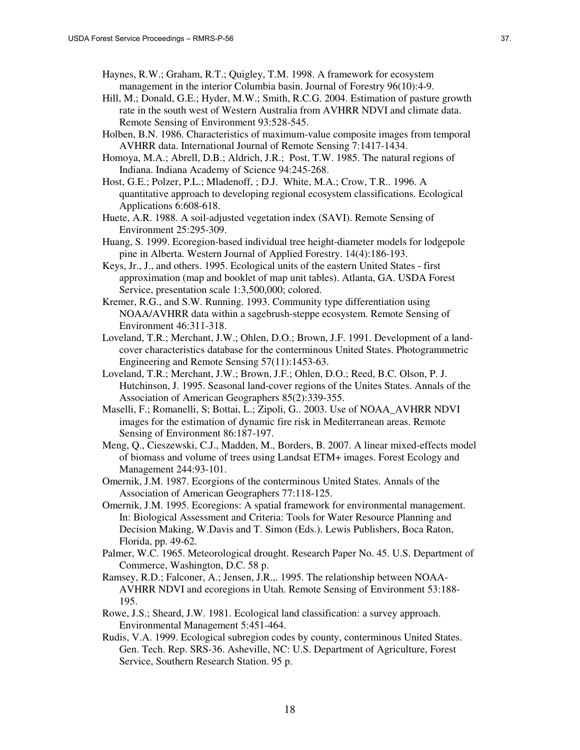- Hill, M.; Donald, G.E.; Hyder, M.W.; Smith, R.C.G. 2004. Estimation of pasture growth rate in the south west of Western Australia from AVHRR NDVI and climate data. Remote Sensing of Environment 93:528-545.
- Holben, B.N. 1986. Characteristics of maximum-value composite images from temporal AVHRR data. International Journal of Remote Sensing 7:1417-1434.
- Homoya, M.A.; Abrell, D.B.; Aldrich, J.R.; Post, T.W. 1985. The natural regions of Indiana. Indiana Academy of Science 94:245-268.
- Host, G.E.; Polzer, P.L.; Mladenoff, ; D.J. White, M.A.; Crow, T.R.. 1996. A quantitative approach to developing regional ecosystem classifications. Ecological Applications 6:608-618.
- Huete, A.R. 1988. A soil-adjusted vegetation index (SAVI). Remote Sensing of Environment 25:295-309.
- Huang, S. 1999. Ecoregion-based individual tree height-diameter models for lodgepole pine in Alberta. Western Journal of Applied Forestry. 14(4):186-193.
- Keys, Jr., J., and others. 1995. Ecological units of the eastern United States first approximation (map and booklet of map unit tables). Atlanta, GA. USDA Forest Service, presentation scale 1:3,500,000; colored.
- Kremer, R.G., and S.W. Running. 1993. Community type differentiation using NOAA/AVHRR data within a sagebrush-steppe ecosystem. Remote Sensing of Environment 46:311-318.
- Loveland, T.R.; Merchant, J.W.; Ohlen, D.O.; Brown, J.F. 1991. Development of a landcover characteristics database for the conterminous United States. Photogrammetric Engineering and Remote Sensing 57(11):1453-63.
- Loveland, T.R.; Merchant, J.W.; Brown, J.F.; Ohlen, D.O.; Reed, B.C. Olson, P. J. Hutchinson, J. 1995. Seasonal land-cover regions of the Unites States. Annals of the Association of American Geographers 85(2):339-355.
- Maselli, F.; Romanelli, S; Bottai, L.; Zipoli, G.. 2003. Use of NOAA\_AVHRR NDVI images for the estimation of dynamic fire risk in Mediterranean areas. Remote Sensing of Environment 86:187-197.
- Meng, Q., Cieszewski, C.J., Madden, M., Borders, B. 2007. A linear mixed-effects model of biomass and volume of trees using Landsat ETM+ images. Forest Ecology and Management 244:93-101.
- Omernik, J.M. 1987. Ecorgions of the conterminous United States. Annals of the Association of American Geographers 77:118-125.
- Omernik, J.M. 1995. Ecoregions: A spatial framework for environmental management. In: Biological Assessment and Criteria: Tools for Water Resource Planning and Decision Making, W.Davis and T. Simon (Eds.). Lewis Publishers, Boca Raton, Florida, pp. 49-62.
- Palmer, W.C. 1965. Meteorological drought. Research Paper No. 45. U.S. Department of Commerce, Washington, D.C. 58 p.
- Ramsey, R.D.; Falconer, A.; Jensen, J.R.,. 1995. The relationship between NOAA-AVHRR NDVI and ecoregions in Utah. Remote Sensing of Environment 53:188- 195.
- Rowe, J.S.; Sheard, J.W. 1981. Ecological land classification: a survey approach. Environmental Management 5:451-464.
- Rudis, V.A. 1999. Ecological subregion codes by county, conterminous United States. Gen. Tech. Rep. SRS-36. Asheville, NC: U.S. Department of Agriculture, Forest Service, Southern Research Station. 95 p.